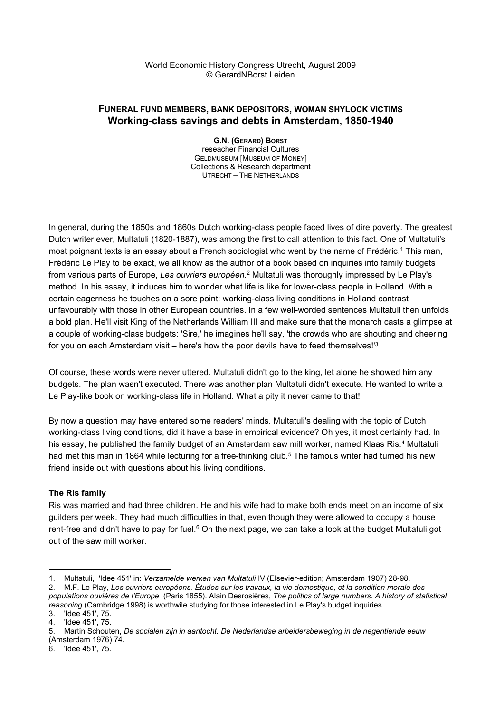#### World Economic History Congress Utrecht, August 2009 © GerardNBorst Leiden

# FUNERAL FUND MEMBERS, BANK DEPOSITORS, WOMAN SHYLOCK VICTIMS Working-class savings and debts in Amsterdam, 1850-1940

G.N. (GERARD) BORST reseacher Financial Cultures GELDMUSEUM [MUSEUM OF MONEY] Collections & Research department UTRECHT – THE NETHERLANDS

In general, during the 1850s and 1860s Dutch working-class people faced lives of dire poverty. The greatest Dutch writer ever, Multatuli (1820-1887), was among the first to call attention to this fact. One of Multatuli's most poignant texts is an essay about a French sociologist who went by the name of Frédéric.<sup>1</sup> This man, Frédéric Le Play to be exact, we all know as the author of a book based on inquiries into family budgets from various parts of Europe, *Les ouvriers européen.*<sup>2</sup> Multatuli was thoroughly impressed by Le Play's method. In his essay, it induces him to wonder what life is like for lower-class people in Holland. With a certain eagerness he touches on a sore point: working-class living conditions in Holland contrast unfavourably with those in other European countries. In a few well-worded sentences Multatuli then unfolds a bold plan. He'll visit King of the Netherlands William III and make sure that the monarch casts a glimpse at a couple of working-class budgets: 'Sire,' he imagines he'll say, 'the crowds who are shouting and cheering for you on each Amsterdam visit – here's how the poor devils have to feed themselves!<sup>3</sup>

Of course, these words were never uttered. Multatuli didn't go to the king, let alone he showed him any budgets. The plan wasn't executed. There was another plan Multatuli didn't execute. He wanted to write a Le Play-like book on working-class life in Holland. What a pity it never came to that!

By now a question may have entered some readers' minds. Multatuli's dealing with the topic of Dutch working-class living conditions, did it have a base in empirical evidence? Oh yes, it most certainly had. In his essay, he published the family budget of an Amsterdam saw mill worker, named Klaas Ris.<sup>4</sup> Multatuli had met this man in 1864 while lecturing for a free-thinking club.<sup>5</sup> The famous writer had turned his new friend inside out with questions about his living conditions.

## The Ris family

Ris was married and had three children. He and his wife had to make both ends meet on an income of six guilders per week. They had much difficulties in that, even though they were allowed to occupy a house rent-free and didn't have to pay for fuel.<sup>6</sup> On the next page, we can take a look at the budget Multatuli got out of the saw mill worker.

<sup>1.</sup> Multatuli, 'Idee 451' in: Verzamelde werken van Multatuli IV (Elsevier-edition; Amsterdam 1907) 28-98.

<sup>2.</sup> M.F. Le Play, Les ouvriers européens. Études sur les travaux, la vie domestique, et la condition morale des populations ouvières de l'Europe (Paris 1855). Alain Desrosières, The politics of large numbers. A history of statistical reasoning (Cambridge 1998) is worthwile studying for those interested in Le Play's budget inquiries.

<sup>3. &#</sup>x27;Idee 451', 75.

<sup>4. &#</sup>x27;Idee 451', 75.

<sup>5.</sup> Martin Schouten, De socialen zijn in aantocht. De Nederlandse arbeidersbeweging in de negentiende eeuw (Amsterdam 1976) 74.

<sup>6. &#</sup>x27;Idee 451', 75.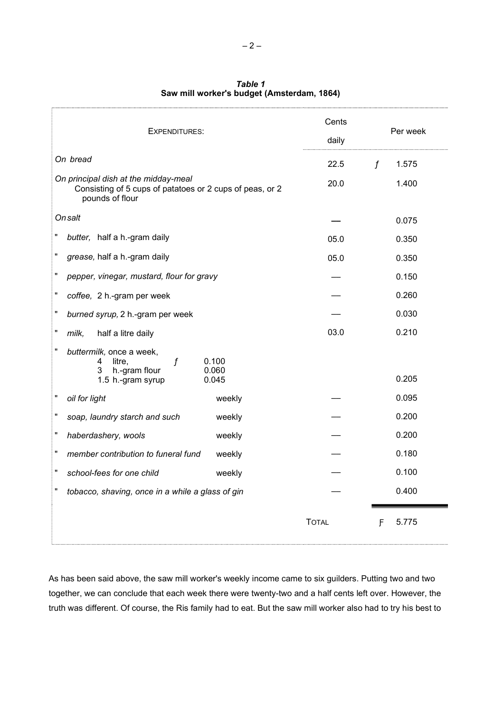| <b>EXPENDITURES:</b>                                                                                                    | Cents<br>daily |             | Per week |
|-------------------------------------------------------------------------------------------------------------------------|----------------|-------------|----------|
| On bread                                                                                                                | 22.5           | $\mathbf f$ | 1.575    |
| On principal dish at the midday-meal<br>Consisting of 5 cups of patatoes or 2 cups of peas, or 2<br>pounds of flour     | 20.0           |             | 1.400    |
| On salt                                                                                                                 |                |             | 0.075    |
| Ħ<br>butter, half a h.-gram daily                                                                                       | 05.0           |             | 0.350    |
| Ħ<br>grease, half a h.-gram daily                                                                                       | 05.0           |             | 0.350    |
| Ħ<br>pepper, vinegar, mustard, flour for gravy                                                                          |                |             | 0.150    |
| Ħ<br>coffee, 2 h.-gram per week                                                                                         |                |             | 0.260    |
| burned syrup, 2 h.-gram per week                                                                                        |                |             | 0.030    |
| milk,<br>half a litre daily                                                                                             | 03.0           |             | 0.210    |
| Ħ<br>buttermilk, once a week,<br>f<br>0.100<br>litre.<br>4<br>h.-gram flour<br>0.060<br>3<br>1.5 h.-gram syrup<br>0.045 |                |             | 0.205    |
| Ħ<br>oil for light<br>weekly                                                                                            |                |             | 0.095    |
| Ħ<br>soap, laundry starch and such<br>weekly                                                                            |                |             | 0.200    |
| Ħ<br>haberdashery, wools<br>weekly                                                                                      |                |             | 0.200    |
| Ħ<br>member contribution to funeral fund<br>weekly                                                                      |                |             | 0.180    |
| Ħ<br>school-fees for one child<br>weekly                                                                                |                |             | 0.100    |
| tobacco, shaving, once in a while a glass of gin                                                                        |                |             | 0.400    |
|                                                                                                                         | <b>TOTAL</b>   | F           | 5.775    |

Table 1 Saw mill worker's budget (Amsterdam, 1864)

As has been said above, the saw mill worker's weekly income came to six guilders. Putting two and two together, we can conclude that each week there were twenty-two and a half cents left over. However, the truth was different. Of course, the Ris family had to eat. But the saw mill worker also had to try his best to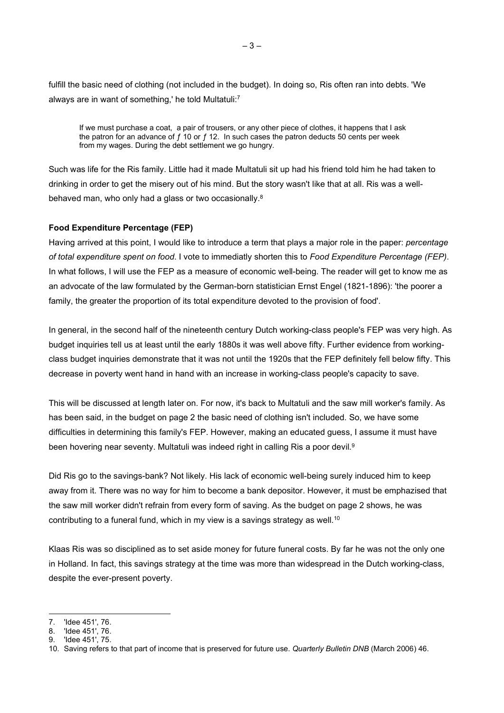fulfill the basic need of clothing (not included in the budget). In doing so, Ris often ran into debts. 'We always are in want of something,' he told Multatuli:<sup>7</sup>

If we must purchase a coat, a pair of trousers, or any other piece of clothes, it happens that I ask the patron for an advance of  $f$  10 or  $f$  12. In such cases the patron deducts 50 cents per week from my wages. During the debt settlement we go hungry.

Such was life for the Ris family. Little had it made Multatuli sit up had his friend told him he had taken to drinking in order to get the misery out of his mind. But the story wasn't like that at all. Ris was a wellbehaved man, who only had a glass or two occasionally.<sup>8</sup>

### Food Expenditure Percentage (FEP)

Having arrived at this point, I would like to introduce a term that plays a major role in the paper: *percentage* of total expenditure spent on food. I vote to immediatly shorten this to Food Expenditure Percentage (FEP). In what follows, I will use the FEP as a measure of economic well-being. The reader will get to know me as an advocate of the law formulated by the German-born statistician Ernst Engel (1821-1896): 'the poorer a family, the greater the proportion of its total expenditure devoted to the provision of food'.

In general, in the second half of the nineteenth century Dutch working-class people's FEP was very high. As budget inquiries tell us at least until the early 1880s it was well above fifty. Further evidence from workingclass budget inquiries demonstrate that it was not until the 1920s that the FEP definitely fell below fifty. This decrease in poverty went hand in hand with an increase in working-class people's capacity to save.

This will be discussed at length later on. For now, it's back to Multatuli and the saw mill worker's family. As has been said, in the budget on page 2 the basic need of clothing isn't included. So, we have some difficulties in determining this family's FEP. However, making an educated guess, I assume it must have been hovering near seventy. Multatuli was indeed right in calling Ris a poor devil.<sup>9</sup>

Did Ris go to the savings-bank? Not likely. His lack of economic well-being surely induced him to keep away from it. There was no way for him to become a bank depositor. However, it must be emphazised that the saw mill worker didn't refrain from every form of saving. As the budget on page 2 shows, he was contributing to a funeral fund, which in my view is a savings strategy as well.<sup>10</sup>

Klaas Ris was so disciplined as to set aside money for future funeral costs. By far he was not the only one in Holland. In fact, this savings strategy at the time was more than widespread in the Dutch working-class, despite the ever-present poverty.

<sup>7. &#</sup>x27;Idee 451', 76.

<sup>8. &#</sup>x27;Idee 451', 76.

<sup>9. &#</sup>x27;Idee 451', 75.

<sup>10.</sup> Saving refers to that part of income that is preserved for future use. Quarterly Bulletin DNB (March 2006) 46.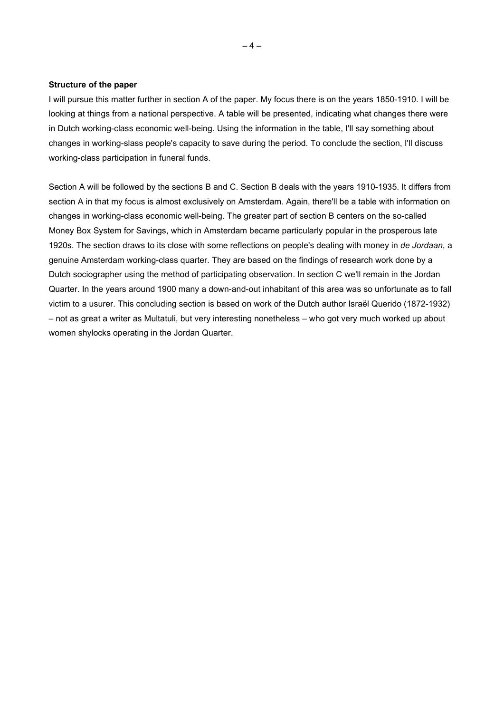#### Structure of the paper

I will pursue this matter further in section A of the paper. My focus there is on the years 1850-1910. I will be looking at things from a national perspective. A table will be presented, indicating what changes there were in Dutch working-class economic well-being. Using the information in the table, I'll say something about changes in working-slass people's capacity to save during the period. To conclude the section, I'll discuss working-class participation in funeral funds.

Section A will be followed by the sections B and C. Section B deals with the years 1910-1935. It differs from section A in that my focus is almost exclusively on Amsterdam. Again, there'll be a table with information on changes in working-class economic well-being. The greater part of section B centers on the so-called Money Box System for Savings, which in Amsterdam became particularly popular in the prosperous late 1920s. The section draws to its close with some reflections on people's dealing with money in de Jordaan, a genuine Amsterdam working-class quarter. They are based on the findings of research work done by a Dutch sociographer using the method of participating observation. In section C we'll remain in the Jordan Quarter. In the years around 1900 many a down-and-out inhabitant of this area was so unfortunate as to fall victim to a usurer. This concluding section is based on work of the Dutch author Israël Querido (1872-1932) – not as great a writer as Multatuli, but very interesting nonetheless – who got very much worked up about women shylocks operating in the Jordan Quarter.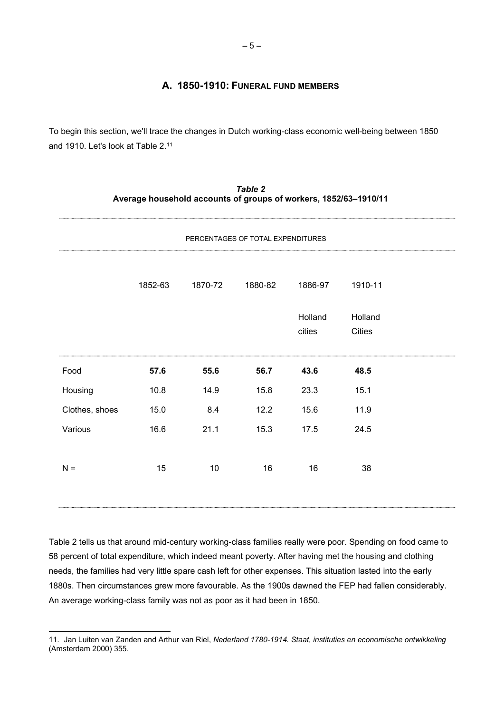## A. 1850-1910: FUNERAL FUND MEMBERS

To begin this section, we'll trace the changes in Dutch working-class economic well-being between 1850 and 1910. Let's look at Table 2.<sup>11</sup>

|                |                                   |         |         | Average household accounts of groups of workers, 1852/63-1910/11 |         |  |
|----------------|-----------------------------------|---------|---------|------------------------------------------------------------------|---------|--|
|                | PERCENTAGES OF TOTAL EXPENDITURES |         |         |                                                                  |         |  |
|                | 1852-63                           | 1870-72 | 1880-82 | 1886-97                                                          | 1910-11 |  |
|                |                                   |         |         | Holland                                                          | Holland |  |
|                |                                   |         |         | cities                                                           | Cities  |  |
| Food           | 57.6                              | 55.6    | 56.7    | 43.6                                                             | 48.5    |  |
| Housing        | 10.8                              | 14.9    | 15.8    | 23.3                                                             | 15.1    |  |
| Clothes, shoes | 15.0                              | 8.4     | 12.2    | 15.6                                                             | 11.9    |  |
| Various        | 16.6                              | 21.1    | 15.3    | 17.5                                                             | 24.5    |  |
| $N =$          | 15                                | 10      | 16      | 16                                                               | 38      |  |
|                |                                   |         |         |                                                                  |         |  |

Table 2

Table 2 tells us that around mid-century working-class families really were poor. Spending on food came to 58 percent of total expenditure, which indeed meant poverty. After having met the housing and clothing needs, the families had very little spare cash left for other expenses. This situation lasted into the early 1880s. Then circumstances grew more favourable. As the 1900s dawned the FEP had fallen considerably. An average working-class family was not as poor as it had been in 1850.

<sup>11.</sup> Jan Luiten van Zanden and Arthur van Riel, Nederland 1780-1914. Staat, instituties en economische ontwikkeling (Amsterdam 2000) 355.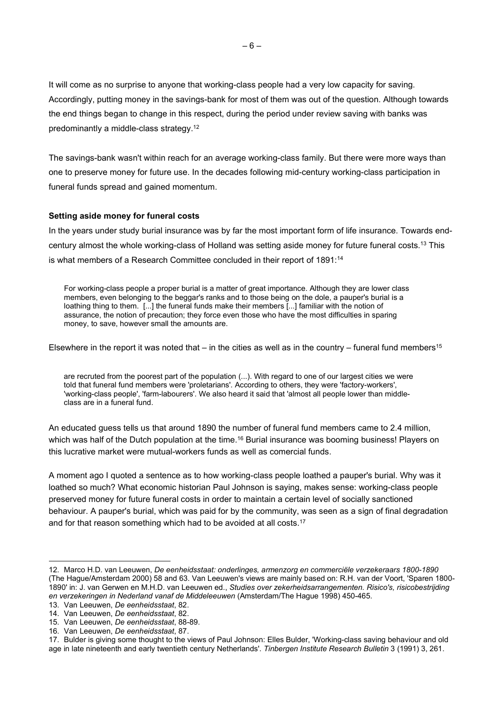It will come as no surprise to anyone that working-class people had a very low capacity for saving. Accordingly, putting money in the savings-bank for most of them was out of the question. Although towards the end things began to change in this respect, during the period under review saving with banks was predominantly a middle-class strategy.<sup>12</sup>

The savings-bank wasn't within reach for an average working-class family. But there were more ways than one to preserve money for future use. In the decades following mid-century working-class participation in funeral funds spread and gained momentum.

### Setting aside money for funeral costs

In the years under study burial insurance was by far the most important form of life insurance. Towards endcentury almost the whole working-class of Holland was setting aside money for future funeral costs.<sup>13</sup> This is what members of a Research Committee concluded in their report of 1891:<sup>14</sup>

For working-class people a proper burial is a matter of great importance. Although they are lower class members, even belonging to the beggar's ranks and to those being on the dole, a pauper's burial is a loathing thing to them. [...] the funeral funds make their members [...] familiar with the notion of assurance, the notion of precaution; they force even those who have the most difficulties in sparing money, to save, however small the amounts are.

Elsewhere in the report it was noted that  $-$  in the cities as well as in the country  $-$  funeral fund members<sup>15</sup>

are recruted from the poorest part of the population (...). With regard to one of our largest cities we were told that funeral fund members were 'proletarians'. According to others, they were 'factory-workers', 'working-class people', 'farm-labourers'. We also heard it said that 'almost all people lower than middleclass are in a funeral fund.

An educated guess tells us that around 1890 the number of funeral fund members came to 2.4 million, which was half of the Dutch population at the time.<sup>16</sup> Burial insurance was booming business! Players on this lucrative market were mutual-workers funds as well as comercial funds.

A moment ago I quoted a sentence as to how working-class people loathed a pauper's burial. Why was it loathed so much? What economic historian Paul Johnson is saying, makes sense: working-class people preserved money for future funeral costs in order to maintain a certain level of socially sanctioned behaviour. A pauper's burial, which was paid for by the community, was seen as a sign of final degradation and for that reason something which had to be avoided at all costs.<sup>17</sup>

<sup>12.</sup> Marco H.D. van Leeuwen, De eenheidsstaat: onderlinges, armenzorg en commerciële verzekeraars 1800-1890 (The Hague/Amsterdam 2000) 58 and 63. Van Leeuwen's views are mainly based on: R.H. van der Voort, 'Sparen 1800- 1890' in: J. van Gerwen en M.H.D. van Leeuwen ed., Studies over zekerheidsarrangementen. Risico's, risicobestrijding en verzekeringen in Nederland vanaf de Middeleeuwen (Amsterdam/The Hague 1998) 450-465.

<sup>13.</sup> Van Leeuwen, De eenheidsstaat, 82.

<sup>14.</sup> Van Leeuwen, De eenheidsstaat, 82.

<sup>15.</sup> Van Leeuwen, De eenheidsstaat, 88-89.

<sup>16.</sup> Van Leeuwen, De eenheidsstaat, 87.

<sup>17.</sup> Bulder is giving some thought to the views of Paul Johnson: Elles Bulder, 'Working-class saving behaviour and old age in late nineteenth and early twentieth century Netherlands'. Tinbergen Institute Research Bulletin 3 (1991) 3, 261.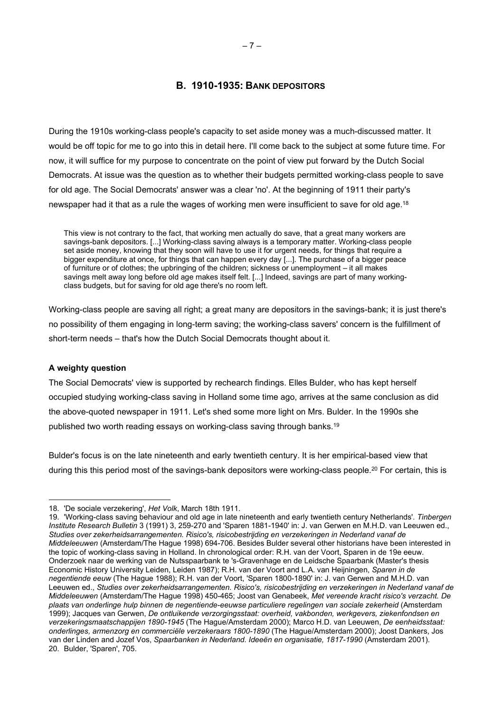## B. 1910-1935: BANK DEPOSITORS

During the 1910s working-class people's capacity to set aside money was a much-discussed matter. It would be off topic for me to go into this in detail here. I'll come back to the subject at some future time. For now, it will suffice for my purpose to concentrate on the point of view put forward by the Dutch Social Democrats. At issue was the question as to whether their budgets permitted working-class people to save for old age. The Social Democrats' answer was a clear 'no'. At the beginning of 1911 their party's newspaper had it that as a rule the wages of working men were insufficient to save for old age.<sup>18</sup>

This view is not contrary to the fact, that working men actually do save, that a great many workers are savings-bank depositors. [...] Working-class saving always is a temporary matter. Working-class people set aside money, knowing that they soon will have to use it for urgent needs, for things that require a bigger expenditure at once, for things that can happen every day [...]. The purchase of a bigger peace of furniture or of clothes; the upbringing of the children; sickness or unemployment – it all makes savings melt away long before old age makes itself felt. [...] Indeed, savings are part of many workingclass budgets, but for saving for old age there's no room left.

Working-class people are saving all right; a great many are depositors in the savings-bank; it is just there's no possibility of them engaging in long-term saving; the working-class savers' concern is the fulfillment of short-term needs – that's how the Dutch Social Democrats thought about it.

#### A weighty question

The Social Democrats' view is supported by rechearch findings. Elles Bulder, who has kept herself occupied studying working-class saving in Holland some time ago, arrives at the same conclusion as did the above-quoted newspaper in 1911. Let's shed some more light on Mrs. Bulder. In the 1990s she published two worth reading essays on working-class saving through banks.<sup>19</sup>

Bulder's focus is on the late nineteenth and early twentieth century. It is her empirical-based view that during this this period most of the savings-bank depositors were working-class people.<sup>20</sup> For certain, this is

<sup>18. &#</sup>x27;De sociale verzekering', Het Volk, March 18th 1911.

<sup>19. &#</sup>x27;Working-class saving behaviour and old age in late nineteenth and early twentieth century Netherlands'. Tinbergen Institute Research Bulletin 3 (1991) 3, 259-270 and 'Sparen 1881-1940' in: J. van Gerwen en M.H.D. van Leeuwen ed., Studies over zekerheidsarrangementen. Risico's, risicobestrijding en verzekeringen in Nederland vanaf de Middeleeuwen (Amsterdam/The Hague 1998) 694-706. Besides Bulder several other historians have been interested in the topic of working-class saving in Holland. In chronological order: R.H. van der Voort, Sparen in de 19e eeuw. Onderzoek naar de werking van de Nutsspaarbank te 's-Gravenhage en de Leidsche Spaarbank (Master's thesis Economic History University Leiden, Leiden 1987); R.H. van der Voort and L.A. van Heijningen, Sparen in de negentiende eeuw (The Hague 1988); R.H. van der Voort, 'Sparen 1800-1890' in: J. van Gerwen and M.H.D. van Leeuwen ed., Studies over zekerheidsarrangementen. Risico's, risicobestrijding en verzekeringen in Nederland vanaf de Middeleeuwen (Amsterdam/The Hague 1998) 450-465; Joost van Genabeek, Met vereende kracht risico's verzacht. De plaats van onderlinge hulp binnen de negentiende-eeuwse particuliere regelingen van sociale zekerheid (Amsterdam 1999); Jacques van Gerwen, De ontluikende verzorgingsstaat: overheid, vakbonden, werkgevers, ziekenfondsen en verzekeringsmaatschappijen 1890-1945 (The Hague/Amsterdam 2000); Marco H.D. van Leeuwen, De eenheidsstaat: onderlinges, armenzorg en commerciële verzekeraars 1800-1890 (The Hague/Amsterdam 2000); Joost Dankers, Jos van der Linden and Jozef Vos, Spaarbanken in Nederland. Ideeën en organisatie, 1817-1990 (Amsterdam 2001). 20. Bulder, 'Sparen', 705.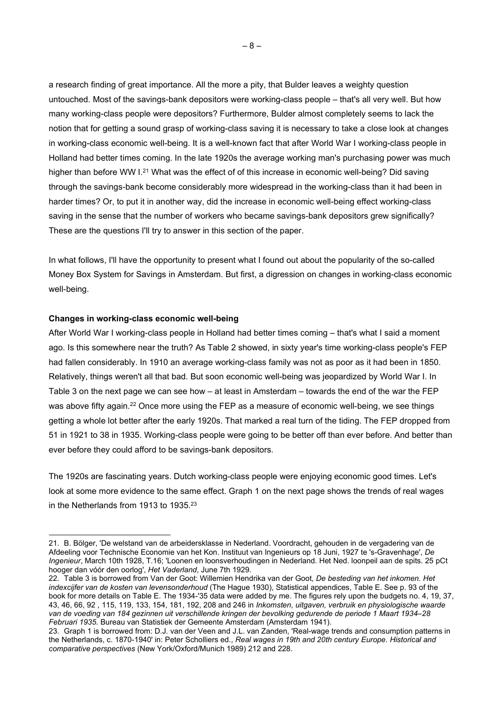a research finding of great importance. All the more a pity, that Bulder leaves a weighty question untouched. Most of the savings-bank depositors were working-class people – that's all very well. But how many working-class people were depositors? Furthermore, Bulder almost completely seems to lack the notion that for getting a sound grasp of working-class saving it is necessary to take a close look at changes in working-class economic well-being. It is a well-known fact that after World War I working-class people in Holland had better times coming. In the late 1920s the average working man's purchasing power was much higher than before WW I.<sup>21</sup> What was the effect of of this increase in economic well-being? Did saving through the savings-bank become considerably more widespread in the working-class than it had been in harder times? Or, to put it in another way, did the increase in economic well-being effect working-class saving in the sense that the number of workers who became savings-bank depositors grew significally? These are the questions I'll try to answer in this section of the paper.

In what follows, I'll have the opportunity to present what I found out about the popularity of the so-called Money Box System for Savings in Amsterdam. But first, a digression on changes in working-class economic well-being.

#### Changes in working-class economic well-being

After World War I working-class people in Holland had better times coming – that's what I said a moment ago. Is this somewhere near the truth? As Table 2 showed, in sixty year's time working-class people's FEP had fallen considerably. In 1910 an average working-class family was not as poor as it had been in 1850. Relatively, things weren't all that bad. But soon economic well-being was jeopardized by World War I. In Table 3 on the next page we can see how – at least in Amsterdam – towards the end of the war the FEP was above fifty again.<sup>22</sup> Once more using the FEP as a measure of economic well-being, we see things getting a whole lot better after the early 1920s. That marked a real turn of the tiding. The FEP dropped from 51 in 1921 to 38 in 1935. Working-class people were going to be better off than ever before. And better than ever before they could afford to be savings-bank depositors.

The 1920s are fascinating years. Dutch working-class people were enjoying economic good times. Let's look at some more evidence to the same effect. Graph 1 on the next page shows the trends of real wages in the Netherlands from 1913 to 1935.<sup>23</sup>

<sup>21.</sup> B. Bölger, 'De welstand van de arbeidersklasse in Nederland. Voordracht, gehouden in de vergadering van de Afdeeling voor Technische Economie van het Kon. Instituut van Ingenieurs op 18 Juni, 1927 te 's-Gravenhage', De Ingenieur, March 10th 1928, T.16; 'Loonen en loonsverhoudingen in Nederland. Het Ned. loonpeil aan de spits. 25 pCt hooger dan vóór den oorlog', Het Vaderland, June 7th 1929.

<sup>22.</sup> Table 3 is borrowed from Van der Goot: Willemien Hendrika van der Goot, De besteding van het inkomen. Het indexcijfer van de kosten van levensonderhoud (The Hague 1930), Statistical appendices, Table E. See p. 93 of the book for more details on Table E. The 1934-'35 data were added by me. The figures rely upon the budgets no. 4, 19, 37, 43, 46, 66, 92 , 115, 119, 133, 154, 181, 192, 208 and 246 in Inkomsten, uitgaven, verbruik en physiologische waarde van de voeding van 184 gezinnen uit verschillende kringen der bevolking gedurende de periode 1 Maart 1934–28 Februari 1935. Bureau van Statistiek der Gemeente Amsterdam (Amsterdam 1941).

<sup>23.</sup> Graph 1 is borrowed from: D.J. van der Veen and J.L. van Zanden, 'Real-wage trends and consumption patterns in the Netherlands, c. 1870-1940' in: Peter Scholliers ed., Real wages in 19th and 20th century Europe. Historical and comparative perspectives (New York/Oxford/Munich 1989) 212 and 228.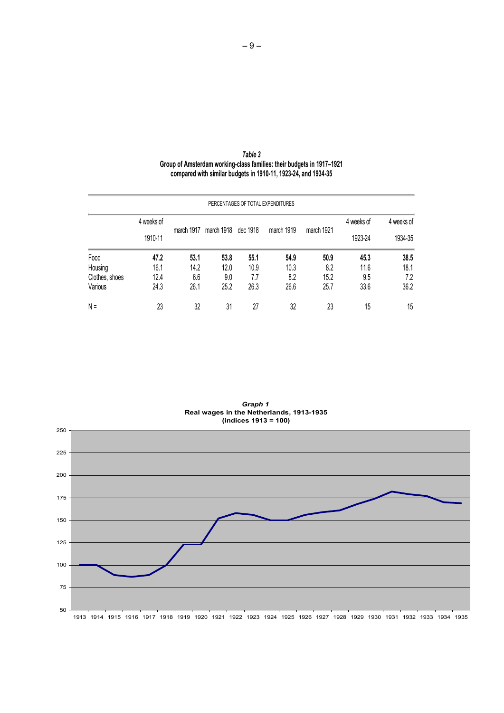| Table 3                                                               |  |
|-----------------------------------------------------------------------|--|
| Group of Amsterdam working-class families: their budgets in 1917-1921 |  |
| compared with similar budgets in 1910-11, 1923-24, and 1934-35        |  |

| PERCENTAGES OF TOTAL EXPENDITURES |            |      |                                |      |            |            |                       |                       |
|-----------------------------------|------------|------|--------------------------------|------|------------|------------|-----------------------|-----------------------|
|                                   | 4 weeks of |      | march 1917 march 1918 dec 1918 |      | march 1919 | march 1921 | 4 weeks of<br>1923-24 | 4 weeks of<br>1934-35 |
|                                   | 1910-11    |      |                                |      |            |            |                       |                       |
| Food                              | 47.2       | 53.1 | 53.8                           | 55.1 | 54.9       | 50.9       | 45.3                  | 38.5                  |
| Housing                           | 16.1       | 14.2 | 12.0                           | 10.9 | 10.3       | 8.2        | 11.6                  | 18.1                  |
| Clothes, shoes                    | 12.4       | 6.6  | 9.0                            | 7.7  | 8.2        | 15.2       | 9.5                   | 7.2                   |
| Various                           | 24.3       | 26.1 | 25.2                           | 26.3 | 26.6       | 25.7       | 33.6                  | 36.2                  |
| $N =$                             | 23         | 32   | 31                             | 27   | 32         | 23         | 15                    | 15                    |

Graph 1 and 1 and 1 and 1 and 1 and 1 and 1 and 1 and 1 and 1 and 1 and 1 and 1 and 1 and 1 and 1 and 1 and 1 Real wages in the Netherlands, 1913-1935 (indices 1913 = 100)

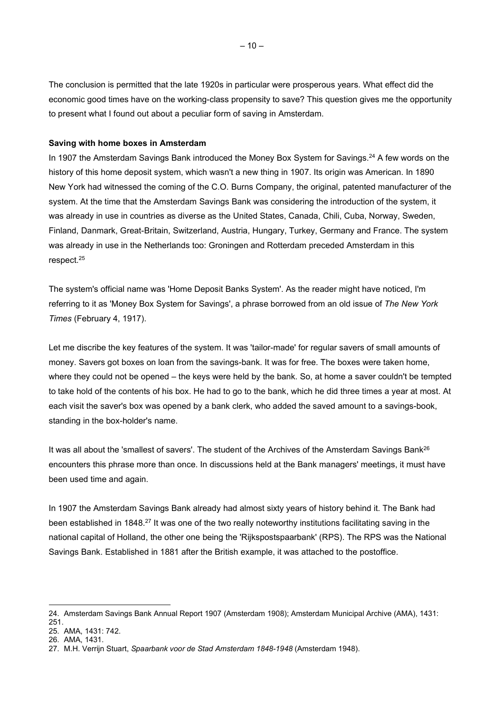The conclusion is permitted that the late 1920s in particular were prosperous years. What effect did the economic good times have on the working-class propensity to save? This question gives me the opportunity to present what I found out about a peculiar form of saving in Amsterdam.

### Saving with home boxes in Amsterdam

In 1907 the Amsterdam Savings Bank introduced the Money Box System for Savings.<sup>24</sup> A few words on the history of this home deposit system, which wasn't a new thing in 1907. Its origin was American. In 1890 New York had witnessed the coming of the C.O. Burns Company, the original, patented manufacturer of the system. At the time that the Amsterdam Savings Bank was considering the introduction of the system, it was already in use in countries as diverse as the United States, Canada, Chili, Cuba, Norway, Sweden, Finland, Danmark, Great-Britain, Switzerland, Austria, Hungary, Turkey, Germany and France. The system was already in use in the Netherlands too: Groningen and Rotterdam preceded Amsterdam in this respect.<sup>25</sup>

The system's official name was 'Home Deposit Banks System'. As the reader might have noticed, I'm referring to it as 'Money Box System for Savings', a phrase borrowed from an old issue of The New York Times (February 4, 1917).

Let me discribe the key features of the system. It was 'tailor-made' for regular savers of small amounts of money. Savers got boxes on loan from the savings-bank. It was for free. The boxes were taken home, where they could not be opened – the keys were held by the bank. So, at home a saver couldn't be tempted to take hold of the contents of his box. He had to go to the bank, which he did three times a year at most. At each visit the saver's box was opened by a bank clerk, who added the saved amount to a savings-book, standing in the box-holder's name.

It was all about the 'smallest of savers'. The student of the Archives of the Amsterdam Savings Bank<sup>26</sup> encounters this phrase more than once. In discussions held at the Bank managers' meetings, it must have been used time and again.

In 1907 the Amsterdam Savings Bank already had almost sixty years of history behind it. The Bank had been established in 1848.<sup>27</sup> It was one of the two really noteworthy institutions facilitating saving in the national capital of Holland, the other one being the 'Rijkspostspaarbank' (RPS). The RPS was the National Savings Bank. Established in 1881 after the British example, it was attached to the postoffice.

<sup>24.</sup> Amsterdam Savings Bank Annual Report 1907 (Amsterdam 1908); Amsterdam Municipal Archive (AMA), 1431:

<sup>251.</sup> 

<sup>25.</sup> AMA, 1431: 742. 26. AMA, 1431.

<sup>27.</sup> M.H. Verrijn Stuart, Spaarbank voor de Stad Amsterdam 1848-1948 (Amsterdam 1948).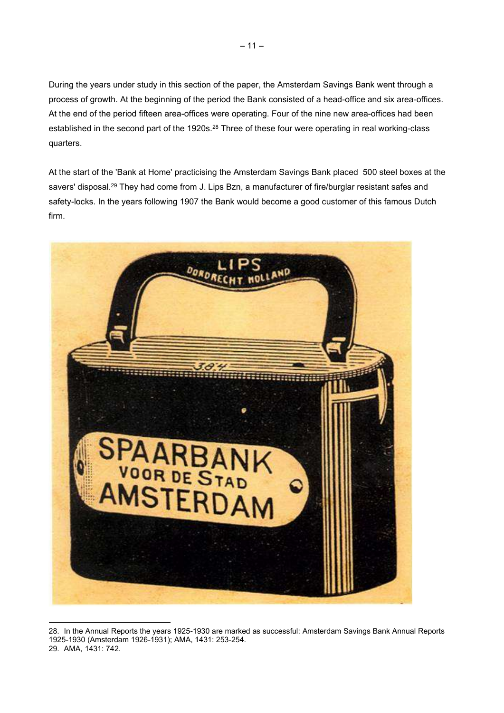During the years under study in this section of the paper, the Amsterdam Savings Bank went through a process of growth. At the beginning of the period the Bank consisted of a head-office and six area-offices. At the end of the period fifteen area-offices were operating. Four of the nine new area-offices had been established in the second part of the 1920s.<sup>28</sup> Three of these four were operating in real working-class quarters.

At the start of the 'Bank at Home' practicising the Amsterdam Savings Bank placed 500 steel boxes at the savers' disposal.<sup>29</sup> They had come from J. Lips Bzn, a manufacturer of fire/burglar resistant safes and safety-locks. In the years following 1907 the Bank would become a good customer of this famous Dutch firm.



<sup>28.</sup> In the Annual Reports the years 1925-1930 are marked as successful: Amsterdam Savings Bank Annual Reports 1925-1930 (Amsterdam 1926-1931); AMA, 1431: 253-254. 29. AMA, 1431: 742.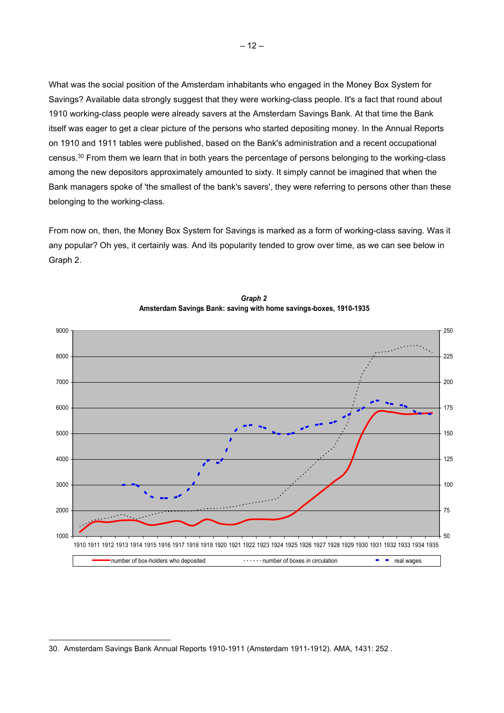What was the social position of the Amsterdam inhabitants who engaged in the Money Box System for Savings? Available data strongly suggest that they were working-class people. It's a fact that round about 1910 working-class people were already savers at the Amsterdam Savings Bank. At that time the Bank itself was eager to get a clear picture of the persons who started depositing money. In the Annual Reports on 1910 and 1911 tables were published, based on the Bank's administration and a recent occupational census.<sup>30</sup> From them we learn that in both years the percentage of persons belonging to the working-class among the new depositors approximately amounted to sixty. It simply cannot be imagined that when the Bank managers spoke of 'the smallest of the bank's savers', they were referring to persons other than these belonging to the working-class.

From now on, then, the Money Box System for Savings is marked as a form of working-class saving. Was it any popular? Oh yes, it certainly was. And its popularity tended to grow over time, as we can see below in Graph 2.



Graph 2 Amsterdam Savings Bank: saving with home savings-boxes, 1910-1935

<sup>30.</sup> Amsterdam Savings Bank Annual Reports 1910-1911 (Amsterdam 1911-1912). AMA, 1431: 252 .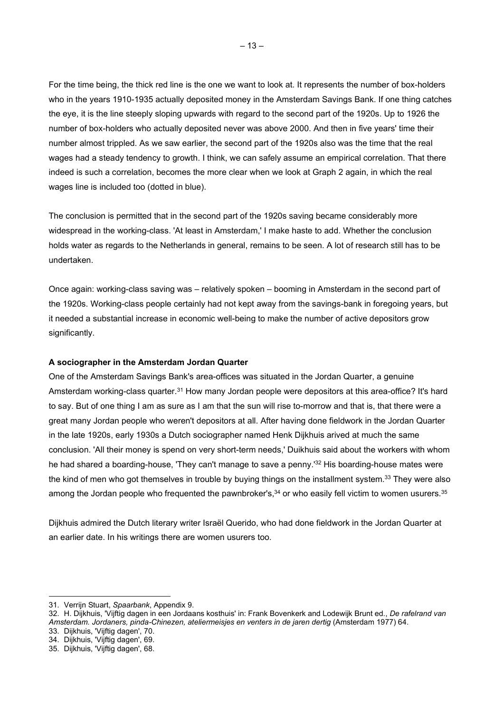For the time being, the thick red line is the one we want to look at. It represents the number of box-holders who in the years 1910-1935 actually deposited money in the Amsterdam Savings Bank. If one thing catches the eye, it is the line steeply sloping upwards with regard to the second part of the 1920s. Up to 1926 the number of box-holders who actually deposited never was above 2000. And then in five years' time their number almost trippled. As we saw earlier, the second part of the 1920s also was the time that the real wages had a steady tendency to growth. I think, we can safely assume an empirical correlation. That there indeed is such a correlation, becomes the more clear when we look at Graph 2 again, in which the real wages line is included too (dotted in blue).

The conclusion is permitted that in the second part of the 1920s saving became considerably more widespread in the working-class. 'At least in Amsterdam,' I make haste to add. Whether the conclusion holds water as regards to the Netherlands in general, remains to be seen. A lot of research still has to be undertaken.

Once again: working-class saving was – relatively spoken – booming in Amsterdam in the second part of the 1920s. Working-class people certainly had not kept away from the savings-bank in foregoing years, but it needed a substantial increase in economic well-being to make the number of active depositors grow significantly.

#### A sociographer in the Amsterdam Jordan Quarter

One of the Amsterdam Savings Bank's area-offices was situated in the Jordan Quarter, a genuine Amsterdam working-class quarter.<sup>31</sup> How many Jordan people were depositors at this area-office? It's hard to say. But of one thing I am as sure as I am that the sun will rise to-morrow and that is, that there were a great many Jordan people who weren't depositors at all. After having done fieldwork in the Jordan Quarter in the late 1920s, early 1930s a Dutch sociographer named Henk Dijkhuis arived at much the same conclusion. 'All their money is spend on very short-term needs,' Duikhuis said about the workers with whom he had shared a boarding-house, 'They can't manage to save a penny.'<sup>32</sup> His boarding-house mates were the kind of men who got themselves in trouble by buying things on the installment system.<sup>33</sup> They were also among the Jordan people who frequented the pawnbroker's, $34$  or who easily fell victim to women usurers.  $35$ 

Dijkhuis admired the Dutch literary writer Israël Querido, who had done fieldwork in the Jordan Quarter at an earlier date. In his writings there are women usurers too.

33. Dijkhuis, 'Vijftig dagen', 70.

<sup>31.</sup> Verrijn Stuart, Spaarbank, Appendix 9.

<sup>32.</sup> H. Dijkhuis, 'Vijftig dagen in een Jordaans kosthuis' in: Frank Bovenkerk and Lodewijk Brunt ed., De rafelrand van Amsterdam. Jordaners, pinda-Chinezen, ateliermeisjes en venters in de jaren dertig (Amsterdam 1977) 64.

<sup>34.</sup> Dijkhuis, 'Vijftig dagen', 69.

<sup>35.</sup> Dijkhuis, 'Vijftig dagen', 68.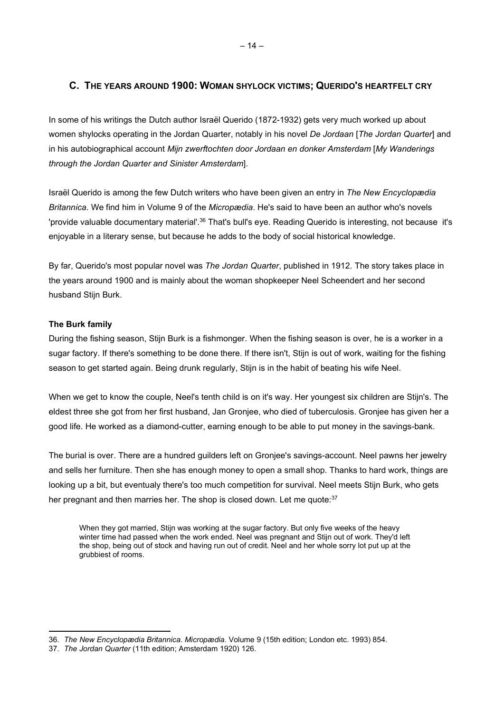# C. THE YEARS AROUND 1900: WOMAN SHYLOCK VICTIMS; QUERIDO'S HEARTFELT CRY

In some of his writings the Dutch author Israël Querido (1872-1932) gets very much worked up about women shylocks operating in the Jordan Quarter, notably in his novel De Jordaan [The Jordan Quarter] and in his autobiographical account Mijn zwerftochten door Jordaan en donker Amsterdam [My Wanderings through the Jordan Quarter and Sinister Amsterdam].

Israël Querido is among the few Dutch writers who have been given an entry in The New Encyclopædia Britannica. We find him in Volume 9 of the Micropædia. He's said to have been an author who's novels 'provide valuable documentary material'.<sup>36</sup> That's bull's eye. Reading Querido is interesting, not because it's enjoyable in a literary sense, but because he adds to the body of social historical knowledge.

By far, Querido's most popular novel was The Jordan Quarter, published in 1912. The story takes place in the years around 1900 and is mainly about the woman shopkeeper Neel Scheendert and her second husband Stiin Burk.

# The Burk family

During the fishing season, Stijn Burk is a fishmonger. When the fishing season is over, he is a worker in a sugar factory. If there's something to be done there. If there isn't, Stijn is out of work, waiting for the fishing season to get started again. Being drunk regularly, Stijn is in the habit of beating his wife Neel.

When we get to know the couple, Neel's tenth child is on it's way. Her youngest six children are Stijn's. The eldest three she got from her first husband, Jan Gronjee, who died of tuberculosis. Gronjee has given her a good life. He worked as a diamond-cutter, earning enough to be able to put money in the savings-bank.

The burial is over. There are a hundred guilders left on Gronjee's savings-account. Neel pawns her jewelry and sells her furniture. Then she has enough money to open a small shop. Thanks to hard work, things are looking up a bit, but eventualy there's too much competition for survival. Neel meets Stijn Burk, who gets her pregnant and then marries her. The shop is closed down. Let me quote:<sup>37</sup>

When they got married, Stijn was working at the sugar factory. But only five weeks of the heavy winter time had passed when the work ended. Neel was pregnant and Stijn out of work. They'd left the shop, being out of stock and having run out of credit. Neel and her whole sorry lot put up at the grubbiest of rooms.

<sup>36.</sup> The New Encyclopædia Britannica. Micropædia. Volume 9 (15th edition; London etc. 1993) 854.

<sup>37.</sup> The Jordan Quarter (11th edition; Amsterdam 1920) 126.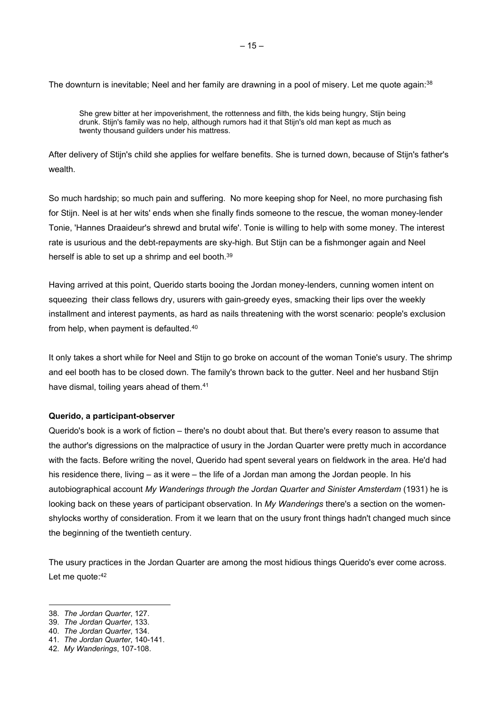She grew bitter at her impoverishment, the rottenness and filth, the kids being hungry, Stijn being drunk. Stijn's family was no help, although rumors had it that Stijn's old man kept as much as twenty thousand guilders under his mattress.

After delivery of Stijn's child she applies for welfare benefits. She is turned down, because of Stijn's father's wealth.

So much hardship; so much pain and suffering. No more keeping shop for Neel, no more purchasing fish for Stijn. Neel is at her wits' ends when she finally finds someone to the rescue, the woman money-lender Tonie, 'Hannes Draaideur's shrewd and brutal wife'. Tonie is willing to help with some money. The interest rate is usurious and the debt-repayments are sky-high. But Stijn can be a fishmonger again and Neel herself is able to set up a shrimp and eel booth.<sup>39</sup>

Having arrived at this point, Querido starts booing the Jordan money-lenders, cunning women intent on squeezing their class fellows dry, usurers with gain-greedy eyes, smacking their lips over the weekly installment and interest payments, as hard as nails threatening with the worst scenario: people's exclusion from help, when payment is defaulted.<sup>40</sup>

It only takes a short while for Neel and Stijn to go broke on account of the woman Tonie's usury. The shrimp and eel booth has to be closed down. The family's thrown back to the gutter. Neel and her husband Stijn have dismal, toiling years ahead of them.<sup>41</sup>

#### Querido, a participant-observer

Querido's book is a work of fiction – there's no doubt about that. But there's every reason to assume that the author's digressions on the malpractice of usury in the Jordan Quarter were pretty much in accordance with the facts. Before writing the novel, Querido had spent several years on fieldwork in the area. He'd had his residence there, living – as it were – the life of a Jordan man among the Jordan people. In his autobiographical account My Wanderings through the Jordan Quarter and Sinister Amsterdam (1931) he is looking back on these years of participant observation. In My Wanderings there's a section on the womenshylocks worthy of consideration. From it we learn that on the usury front things hadn't changed much since the beginning of the twentieth century.

The usury practices in the Jordan Quarter are among the most hidious things Querido's ever come across. Let me quote: 42

<sup>38.</sup> The Jordan Quarter, 127.

<sup>39.</sup> The Jordan Quarter, 133.

<sup>40.</sup> The Jordan Quarter, 134.

<sup>41.</sup> The Jordan Quarter, 140-141.

<sup>42.</sup> My Wanderings, 107-108.